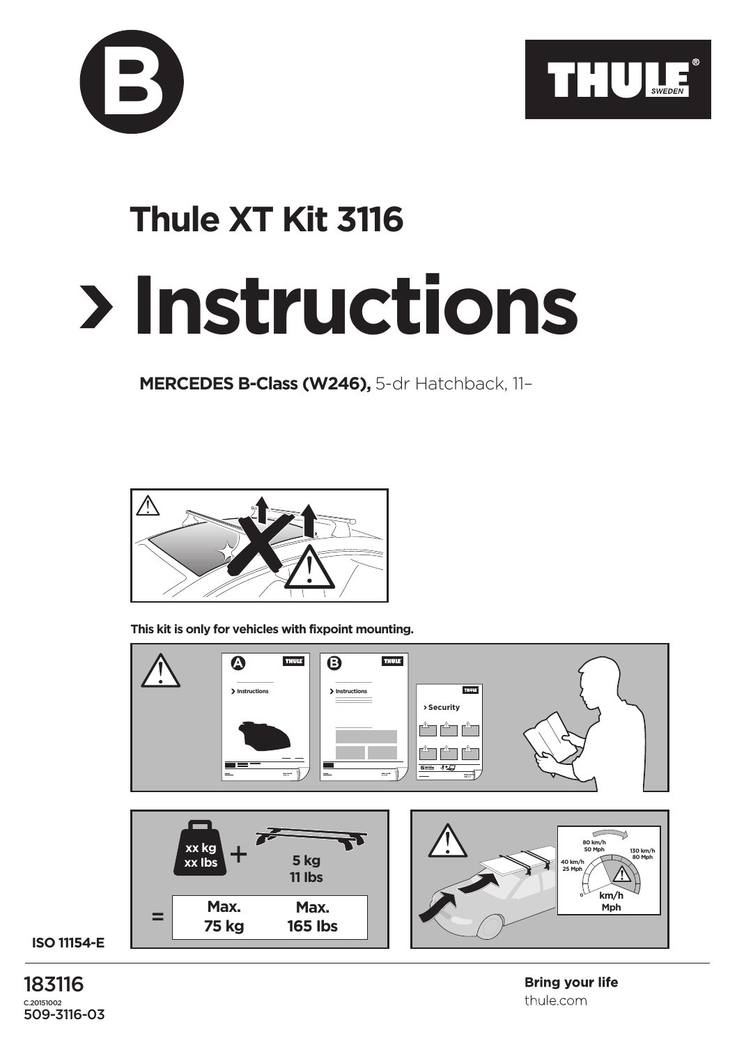



## **Instructions Thule XT Kit 3116**

**MERCEDES B-Class (W246),** 5-dr Hatchback, 11–



**This kit is only for vehicles with fixpoint mounting.**



**ISO 11154-E**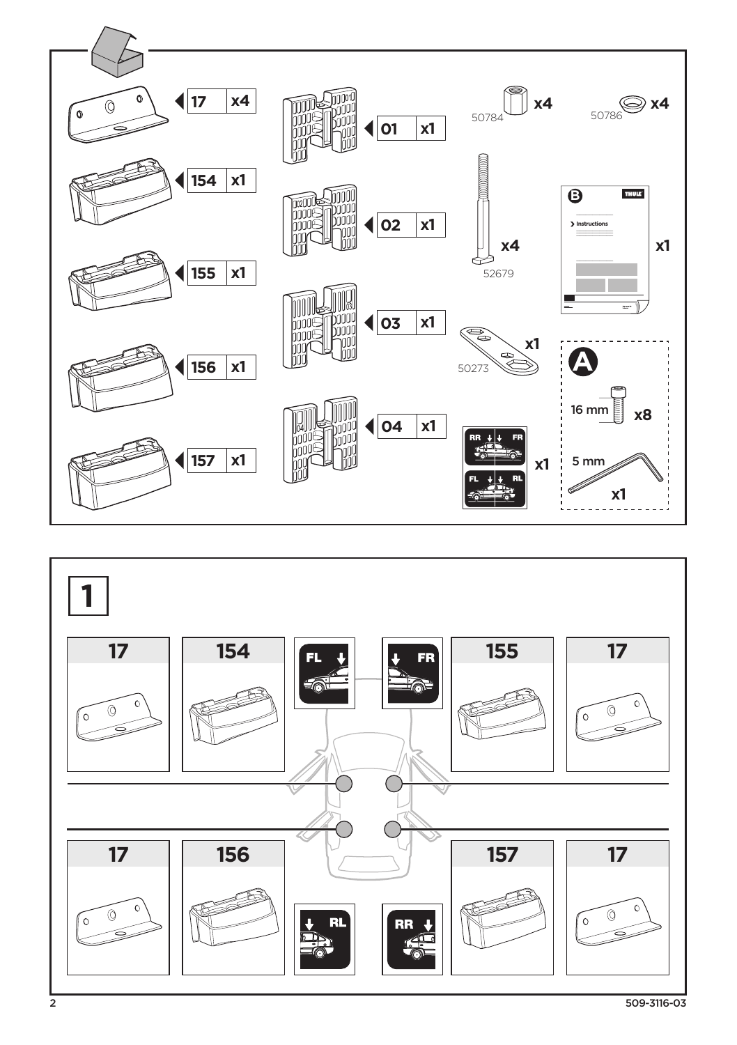

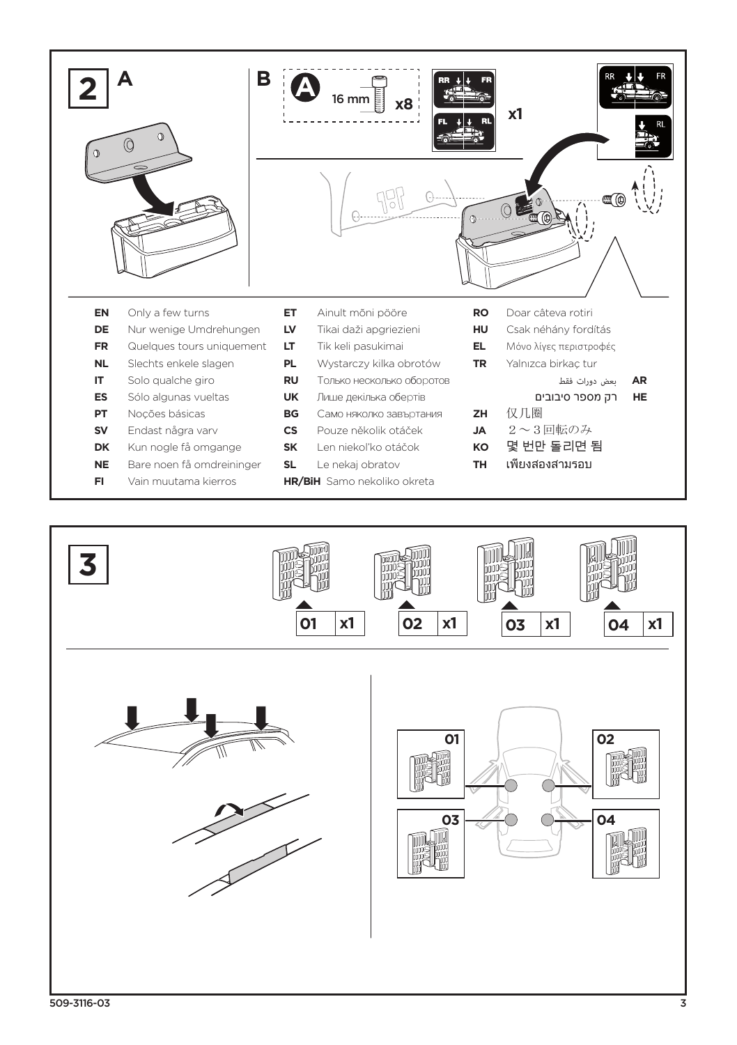